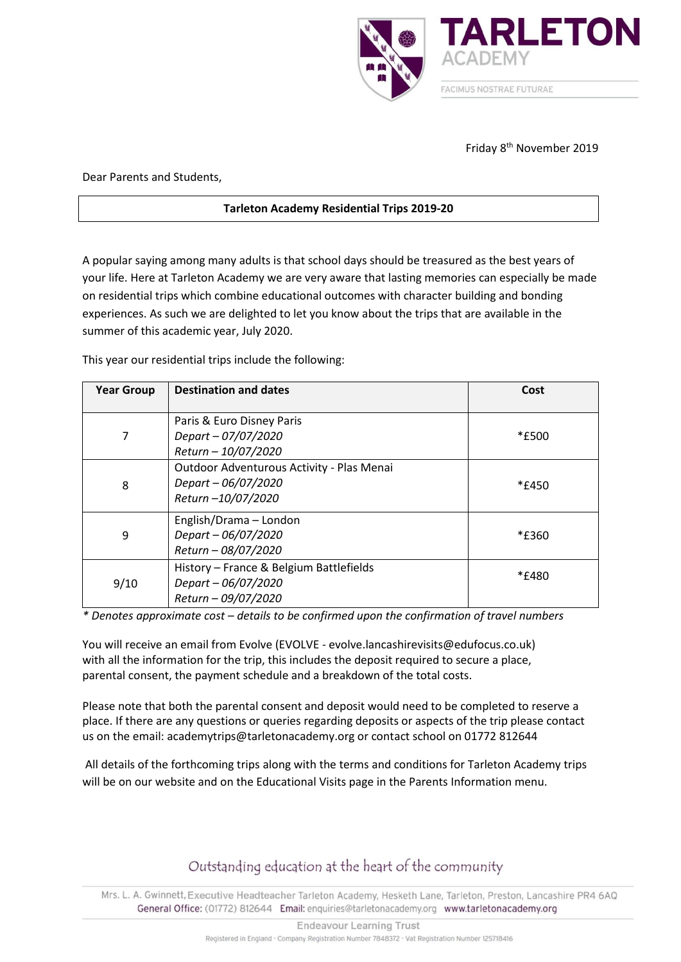

## Friday 8<sup>th</sup> November 2019

Dear Parents and Students,

## **Tarleton Academy Residential Trips 2019-20**

A popular saying among many adults is that school days should be treasured as the best years of your life. Here at Tarleton Academy we are very aware that lasting memories can especially be made on residential trips which combine educational outcomes with character building and bonding experiences. As such we are delighted to let you know about the trips that are available in the summer of this academic year, July 2020.

This year our residential trips include the following:

| <b>Year Group</b> | <b>Destination and dates</b>                                                          | Cost  |
|-------------------|---------------------------------------------------------------------------------------|-------|
| 7                 | Paris & Euro Disney Paris<br>Depart - 07/07/2020<br>Return - 10/07/2020               | *£500 |
| 8                 | Outdoor Adventurous Activity - Plas Menai<br>Depart - 06/07/2020<br>Return-10/07/2020 | *£450 |
| 9                 | English/Drama - London<br>Depart - 06/07/2020<br>Return - 08/07/2020                  | *£360 |
| 9/10              | History - France & Belgium Battlefields<br>Depart - 06/07/2020<br>Return - 09/07/2020 | *£480 |

*\* Denotes approximate cost – details to be confirmed upon the confirmation of travel numbers*

You will receive an email from Evolve (EVOLVE - evolve.lancashirevisits@edufocus.co.uk) with all the information for the trip, this includes the deposit required to secure a place, parental consent, the payment schedule and a breakdown of the total costs.

Please note that both the parental consent and deposit would need to be completed to reserve a place. If there are any questions or queries regarding deposits or aspects of the trip please contact us on the email: academytrips@tarletonacademy.org or contact school on 01772 812644

All details of the forthcoming trips along with the terms and conditions for Tarleton Academy trips will be on our website and on the Educational Visits page in the Parents Information menu.

## Outstanding education at the heart of the community

Mrs. L. A. Gwinnett, Executive Headteacher Tarleton Academy, Hesketh Lane, Tarleton, Preston, Lancashire PR4 6AQ General Office: (01772) 812644 Email: enquiries@tarletonacademy.org www.tarletonacademy.org